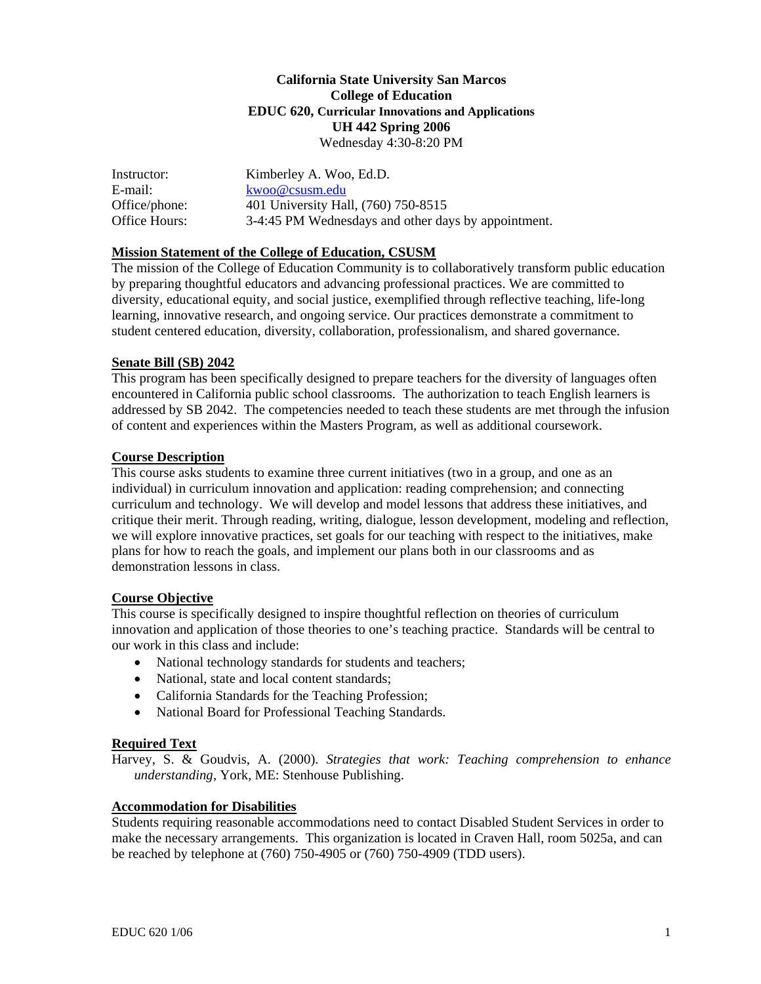## **California State University San Marcos College of Education EDUC 620, Curricular Innovations and Applications UH 442 Spring 2006** Wednesday 4:30-8:20 PM

| Instructor:   | Kimberley A. Woo, Ed.D.                             |
|---------------|-----------------------------------------------------|
| E-mail:       | kwoo@csusm.edu                                      |
| Office/phone: | 401 University Hall, (760) 750-8515                 |
| Office Hours: | 3-4:45 PM Wednesdays and other days by appointment. |

### **Mission Statement of the College of Education, CSUSM**

The mission of the College of Education Community is to collaboratively transform public education by preparing thoughtful educators and advancing professional practices. We are committed to diversity, educational equity, and social justice, exemplified through reflective teaching, life-long learning, innovative research, and ongoing service. Our practices demonstrate a commitment to student centered education, diversity, collaboration, professionalism, and shared governance.

### **Senate Bill (SB) 2042**

This program has been specifically designed to prepare teachers for the diversity of languages often encountered in California public school classrooms. The authorization to teach English learners is addressed by SB 2042. The competencies needed to teach these students are met through the infusion of content and experiences within the Masters Program, as well as additional coursework.

### **Course Description**

This course asks students to examine three current initiatives (two in a group, and one as an individual) in curriculum innovation and application: reading comprehension; and connecting curriculum and technology. We will develop and model lessons that address these initiatives, and critique their merit. Through reading, writing, dialogue, lesson development, modeling and reflection, we will explore innovative practices, set goals for our teaching with respect to the initiatives, make plans for how to reach the goals, and implement our plans both in our classrooms and as demonstration lessons in class.

#### **Course Objective**

This course is specifically designed to inspire thoughtful reflection on theories of curriculum innovation and application of those theories to one's teaching practice. Standards will be central to our work in this class and include:

- National technology standards for students and teachers;
- National, state and local content standards:
- California Standards for the Teaching Profession;
- National Board for Professional Teaching Standards.

#### **Required Text**

Harvey, S. & Goudvis, A. (2000). *Strategies that work: Teaching comprehension to enhance understanding*, York, ME: Stenhouse Publishing.

#### **Accommodation for Disabilities**

Students requiring reasonable accommodations need to contact Disabled Student Services in order to make the necessary arrangements. This organization is located in Craven Hall, room 5025a, and can be reached by telephone at (760) 750-4905 or (760) 750-4909 (TDD users).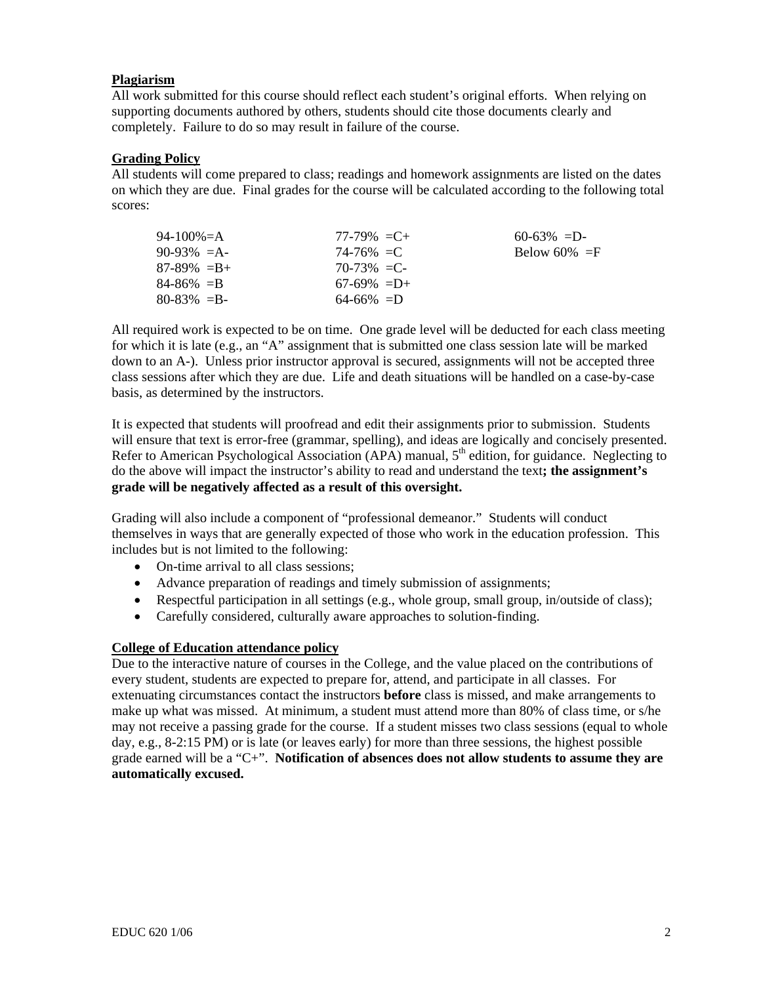## **Plagiarism**

All work submitted for this course should reflect each student's original efforts. When relying on supporting documents authored by others, students should cite those documents clearly and completely. Failure to do so may result in failure of the course.

## **Grading Policy**

All students will come prepared to class; readings and homework assignments are listed on the dates on which they are due. Final grades for the course will be calculated according to the following total scores:

| 94-100\%=A      | $77-79\% = C +$ | $60-63\% = D$   |
|-----------------|-----------------|-----------------|
| $90-93\% = A$   | $74 - 76\% = C$ | Below 60% $=$ F |
| $87-89\% = B +$ | $70-73\% = C$   |                 |
| $84 - 86\% = B$ | $67-69\% = D+$  |                 |
| $80 - 83\% = B$ | $64-66\% = D$   |                 |

All required work is expected to be on time. One grade level will be deducted for each class meeting for which it is late (e.g., an "A" assignment that is submitted one class session late will be marked down to an A-). Unless prior instructor approval is secured, assignments will not be accepted three class sessions after which they are due. Life and death situations will be handled on a case-by-case basis, as determined by the instructors.

It is expected that students will proofread and edit their assignments prior to submission. Students will ensure that text is error-free (grammar, spelling), and ideas are logically and concisely presented. Refer to American Psychological Association (APA) manual, 5<sup>th</sup> edition, for guidance. Neglecting to do the above will impact the instructor's ability to read and understand the text**; the assignment's grade will be negatively affected as a result of this oversight.** 

Grading will also include a component of "professional demeanor." Students will conduct themselves in ways that are generally expected of those who work in the education profession. This includes but is not limited to the following:

- On-time arrival to all class sessions;
- Advance preparation of readings and timely submission of assignments;
- Respectful participation in all settings (e.g., whole group, small group, in/outside of class);
- Carefully considered, culturally aware approaches to solution-finding.

## **College of Education attendance policy**

Due to the interactive nature of courses in the College, and the value placed on the contributions of every student, students are expected to prepare for, attend, and participate in all classes. For extenuating circumstances contact the instructors **before** class is missed, and make arrangements to make up what was missed. At minimum, a student must attend more than 80% of class time, or s/he may not receive a passing grade for the course. If a student misses two class sessions (equal to whole day, e.g., 8-2:15 PM) or is late (or leaves early) for more than three sessions, the highest possible grade earned will be a "C+". **Notification of absences does not allow students to assume they are automatically excused.**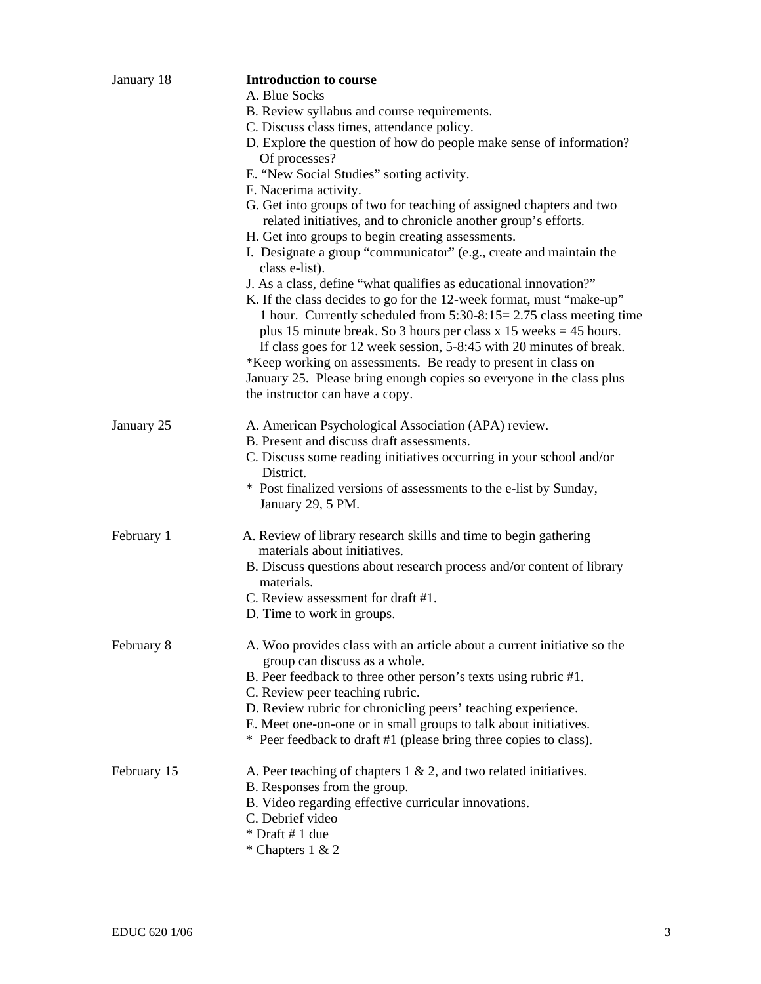| January 18  | <b>Introduction to course</b><br>A. Blue Socks                                                                                                                                                                                                                                                                                                                                                                                                                                                                                              |  |  |
|-------------|---------------------------------------------------------------------------------------------------------------------------------------------------------------------------------------------------------------------------------------------------------------------------------------------------------------------------------------------------------------------------------------------------------------------------------------------------------------------------------------------------------------------------------------------|--|--|
|             | B. Review syllabus and course requirements.                                                                                                                                                                                                                                                                                                                                                                                                                                                                                                 |  |  |
|             | C. Discuss class times, attendance policy.                                                                                                                                                                                                                                                                                                                                                                                                                                                                                                  |  |  |
|             | D. Explore the question of how do people make sense of information?<br>Of processes?                                                                                                                                                                                                                                                                                                                                                                                                                                                        |  |  |
|             | E. "New Social Studies" sorting activity.                                                                                                                                                                                                                                                                                                                                                                                                                                                                                                   |  |  |
|             | F. Nacerima activity.                                                                                                                                                                                                                                                                                                                                                                                                                                                                                                                       |  |  |
|             | G. Get into groups of two for teaching of assigned chapters and two<br>related initiatives, and to chronicle another group's efforts.<br>H. Get into groups to begin creating assessments.<br>I. Designate a group "communicator" (e.g., create and maintain the                                                                                                                                                                                                                                                                            |  |  |
|             | class e-list).                                                                                                                                                                                                                                                                                                                                                                                                                                                                                                                              |  |  |
|             | J. As a class, define "what qualifies as educational innovation?"<br>K. If the class decides to go for the 12-week format, must "make-up"<br>1 hour. Currently scheduled from $5:30-8:15=2.75$ class meeting time<br>plus 15 minute break. So 3 hours per class $x$ 15 weeks = 45 hours.<br>If class goes for 12 week session, 5-8:45 with 20 minutes of break.<br>*Keep working on assessments. Be ready to present in class on<br>January 25. Please bring enough copies so everyone in the class plus<br>the instructor can have a copy. |  |  |
|             |                                                                                                                                                                                                                                                                                                                                                                                                                                                                                                                                             |  |  |
| January 25  | A. American Psychological Association (APA) review.                                                                                                                                                                                                                                                                                                                                                                                                                                                                                         |  |  |
|             | B. Present and discuss draft assessments.<br>C. Discuss some reading initiatives occurring in your school and/or<br>District.                                                                                                                                                                                                                                                                                                                                                                                                               |  |  |
|             | * Post finalized versions of assessments to the e-list by Sunday,<br>January 29, 5 PM.                                                                                                                                                                                                                                                                                                                                                                                                                                                      |  |  |
| February 1  | A. Review of library research skills and time to begin gathering<br>materials about initiatives.                                                                                                                                                                                                                                                                                                                                                                                                                                            |  |  |
|             | B. Discuss questions about research process and/or content of library<br>materials.                                                                                                                                                                                                                                                                                                                                                                                                                                                         |  |  |
|             | C. Review assessment for draft #1.                                                                                                                                                                                                                                                                                                                                                                                                                                                                                                          |  |  |
|             | D. Time to work in groups.                                                                                                                                                                                                                                                                                                                                                                                                                                                                                                                  |  |  |
| February 8  | A. Woo provides class with an article about a current initiative so the<br>group can discuss as a whole.                                                                                                                                                                                                                                                                                                                                                                                                                                    |  |  |
|             | B. Peer feedback to three other person's texts using rubric #1.<br>C. Review peer teaching rubric.                                                                                                                                                                                                                                                                                                                                                                                                                                          |  |  |
|             | D. Review rubric for chronicling peers' teaching experience.                                                                                                                                                                                                                                                                                                                                                                                                                                                                                |  |  |
|             | E. Meet one-on-one or in small groups to talk about initiatives.                                                                                                                                                                                                                                                                                                                                                                                                                                                                            |  |  |
|             | * Peer feedback to draft #1 (please bring three copies to class).                                                                                                                                                                                                                                                                                                                                                                                                                                                                           |  |  |
| February 15 | A. Peer teaching of chapters $1 \& 2$ , and two related initiatives.<br>B. Responses from the group.                                                                                                                                                                                                                                                                                                                                                                                                                                        |  |  |
|             | B. Video regarding effective curricular innovations.                                                                                                                                                                                                                                                                                                                                                                                                                                                                                        |  |  |
|             | C. Debrief video                                                                                                                                                                                                                                                                                                                                                                                                                                                                                                                            |  |  |
|             | * Draft # 1 due<br>* Chapters 1 & 2                                                                                                                                                                                                                                                                                                                                                                                                                                                                                                         |  |  |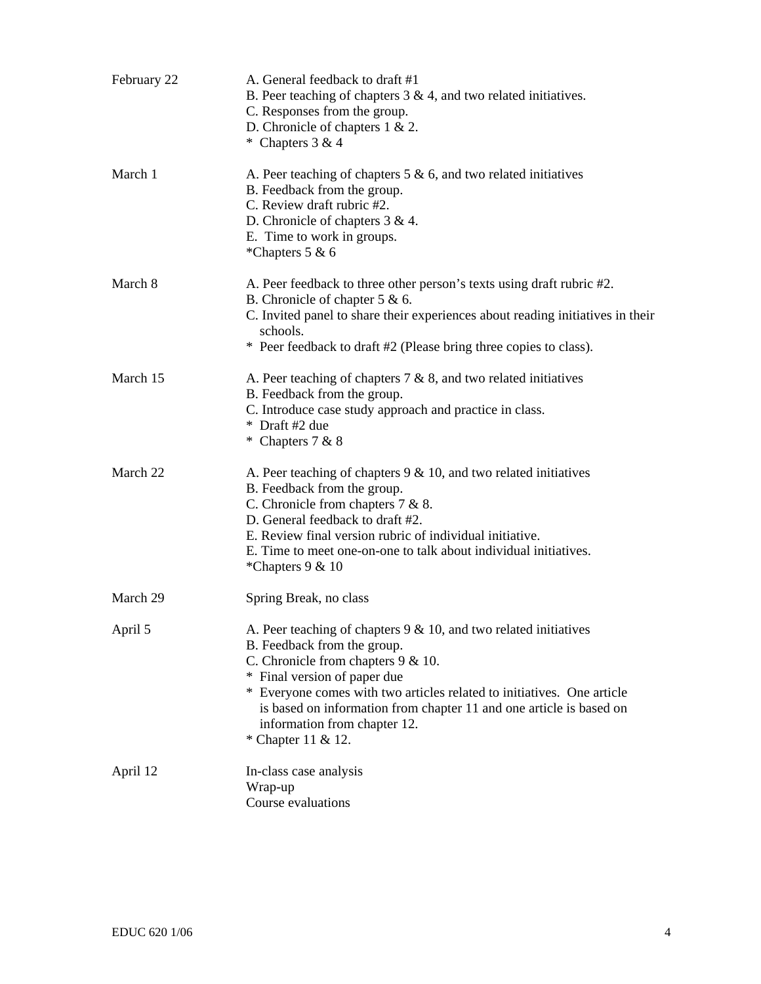| February 22 | A. General feedback to draft #1<br>B. Peer teaching of chapters $3 \& 4$ , and two related initiatives.<br>C. Responses from the group.<br>D. Chronicle of chapters $1 \& 2$ .<br>* Chapters $3 & 4$                                                                                                                                                                               |
|-------------|------------------------------------------------------------------------------------------------------------------------------------------------------------------------------------------------------------------------------------------------------------------------------------------------------------------------------------------------------------------------------------|
| March 1     | A. Peer teaching of chapters $5 \& 6$ , and two related initiatives<br>B. Feedback from the group.<br>C. Review draft rubric #2.<br>D. Chronicle of chapters $3 & 4$ .<br>E. Time to work in groups.<br>*Chapters 5 & 6                                                                                                                                                            |
| March 8     | A. Peer feedback to three other person's texts using draft rubric #2.<br>B. Chronicle of chapter $5 & 6$ .<br>C. Invited panel to share their experiences about reading initiatives in their<br>schools.<br>* Peer feedback to draft #2 (Please bring three copies to class).                                                                                                      |
| March 15    | A. Peer teaching of chapters $7 & 8$ , and two related initiatives<br>B. Feedback from the group.<br>C. Introduce case study approach and practice in class.<br>* Draft #2 due<br>* Chapters 7 & 8                                                                                                                                                                                 |
| March 22    | A. Peer teaching of chapters $9 < 10$ , and two related initiatives<br>B. Feedback from the group.<br>C. Chronicle from chapters $7 & 8$ .<br>D. General feedback to draft #2.<br>E. Review final version rubric of individual initiative.<br>E. Time to meet one-on-one to talk about individual initiatives.<br>*Chapters 9 & 10                                                 |
| March 29    | Spring Break, no class                                                                                                                                                                                                                                                                                                                                                             |
| April 5     | A. Peer teaching of chapters $9 < 10$ , and two related initiatives<br>B. Feedback from the group.<br>C. Chronicle from chapters $9 < 10$ .<br>* Final version of paper due<br>* Everyone comes with two articles related to initiatives. One article<br>is based on information from chapter 11 and one article is based on<br>information from chapter 12.<br>* Chapter 11 & 12. |
| April 12    | In-class case analysis<br>Wrap-up<br>Course evaluations                                                                                                                                                                                                                                                                                                                            |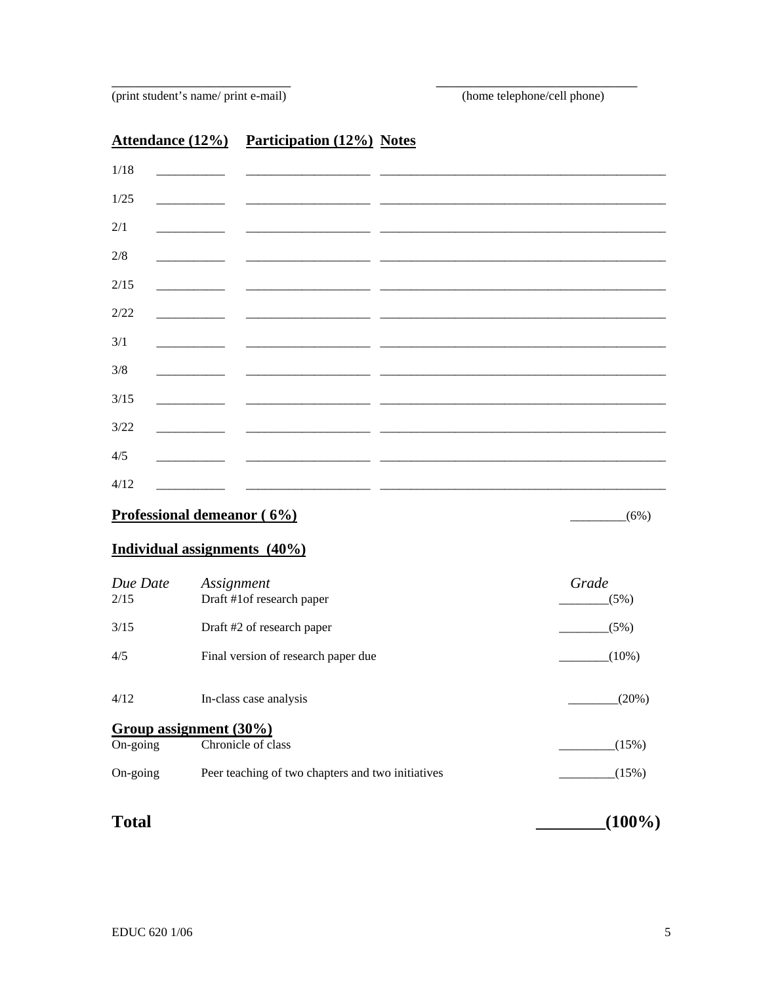(print student's name/ print e-mail)

# **Attendance (12%)** Participation (12%) Notes

| 1/18 |                                                                                                                                                                                                                                      |                                                                                                                       |  |
|------|--------------------------------------------------------------------------------------------------------------------------------------------------------------------------------------------------------------------------------------|-----------------------------------------------------------------------------------------------------------------------|--|
| 1/25 | <u> The Communication of the Communication of the Communication of the Communication of the Communication of the Communication of the Communication of the Communication of the Communication of the Communication of the Commun</u> |                                                                                                                       |  |
| 2/1  |                                                                                                                                                                                                                                      |                                                                                                                       |  |
|      |                                                                                                                                                                                                                                      |                                                                                                                       |  |
| 2/8  |                                                                                                                                                                                                                                      |                                                                                                                       |  |
| 2/15 |                                                                                                                                                                                                                                      |                                                                                                                       |  |
| 2/22 |                                                                                                                                                                                                                                      |                                                                                                                       |  |
| 3/1  |                                                                                                                                                                                                                                      |                                                                                                                       |  |
| 3/8  |                                                                                                                                                                                                                                      |                                                                                                                       |  |
| 3/15 |                                                                                                                                                                                                                                      |                                                                                                                       |  |
| 3/22 |                                                                                                                                                                                                                                      | <u> 1980 - Johann John Stein, fransk kampens og det blev til store og det blev til store og det blev til store og</u> |  |
| 4/5  |                                                                                                                                                                                                                                      |                                                                                                                       |  |
| 4/12 |                                                                                                                                                                                                                                      |                                                                                                                       |  |
|      |                                                                                                                                                                                                                                      |                                                                                                                       |  |

# Professional demeanor (6%)

 $(6\%)$ 

## Individual assignments (40%)

| Due Date<br>2/15  | Assignment<br>Draft #1of research paper           | Grade<br>(5%) |
|-------------------|---------------------------------------------------|---------------|
| 3/15              | Draft #2 of research paper                        | (5%)          |
| 4/5               | Final version of research paper due               | $(10\%)$      |
| 4/12              | In-class case analysis                            | (20%)         |
|                   | Group assignment (30%)                            |               |
| $On\text{-going}$ | Chronicle of class                                | (15%)         |
| $On\text{-going}$ | Peer teaching of two chapters and two initiatives | (15%)         |
|                   |                                                   |               |

| <b>Total</b> | $(100\%)$ |
|--------------|-----------|
|--------------|-----------|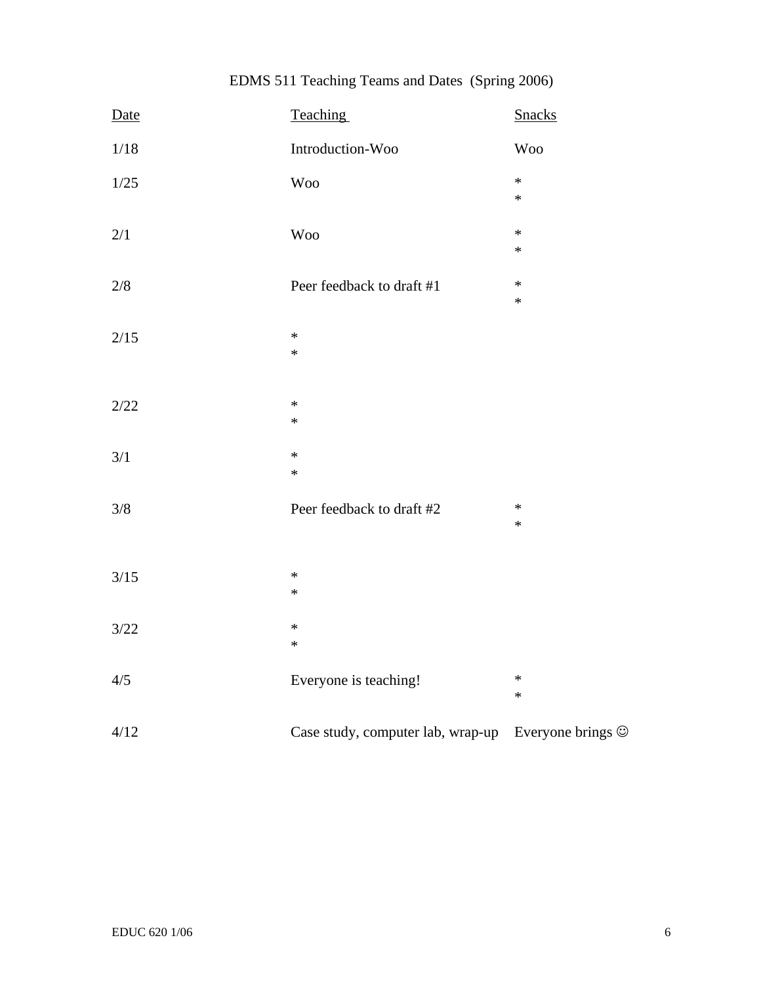|  | EDMS 511 Teaching Teams and Dates (Spring 2006) |  |
|--|-------------------------------------------------|--|
|--|-------------------------------------------------|--|

| Date    | Teaching                          | <b>Snacks</b>           |
|---------|-----------------------------------|-------------------------|
| 1/18    | Introduction-Woo                  | <b>Woo</b>              |
| $1/25$  | <b>Woo</b>                        | $\ast$<br>*             |
| $2/1$   | <b>Woo</b>                        | ∗<br>$\ast$             |
| $2/8\,$ | Peer feedback to draft #1         | ∗<br>*                  |
| 2/15    | $\ast$<br>$\ast$                  |                         |
| 2/22    | $\ast$<br>$\ast$                  |                         |
| 3/1     | $\ast$<br>$\ast$                  |                         |
| 3/8     | Peer feedback to draft #2         | ∗<br>$\ast$             |
| $3/15$  | $\ast$<br>$\ast$                  |                         |
| 3/22    | $\ast$<br>$\ast$                  |                         |
| 4/5     | Everyone is teaching!             | $\ast$<br>*             |
| 4/12    | Case study, computer lab, wrap-up | Everyone brings $\odot$ |